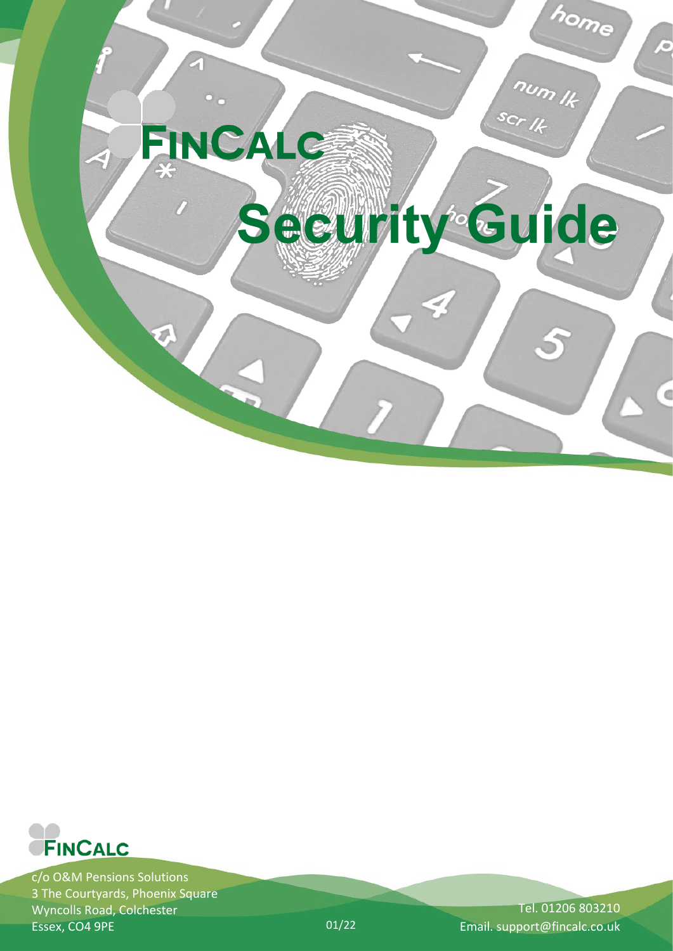



c/o O&M Pensions Solutions 3 The Courtyards, Phoenix Square Wyncolls Road, Colchester Essex, CO4 9PE

Tel. 01206 803210 01/22 Email. support@fincalc.co.uk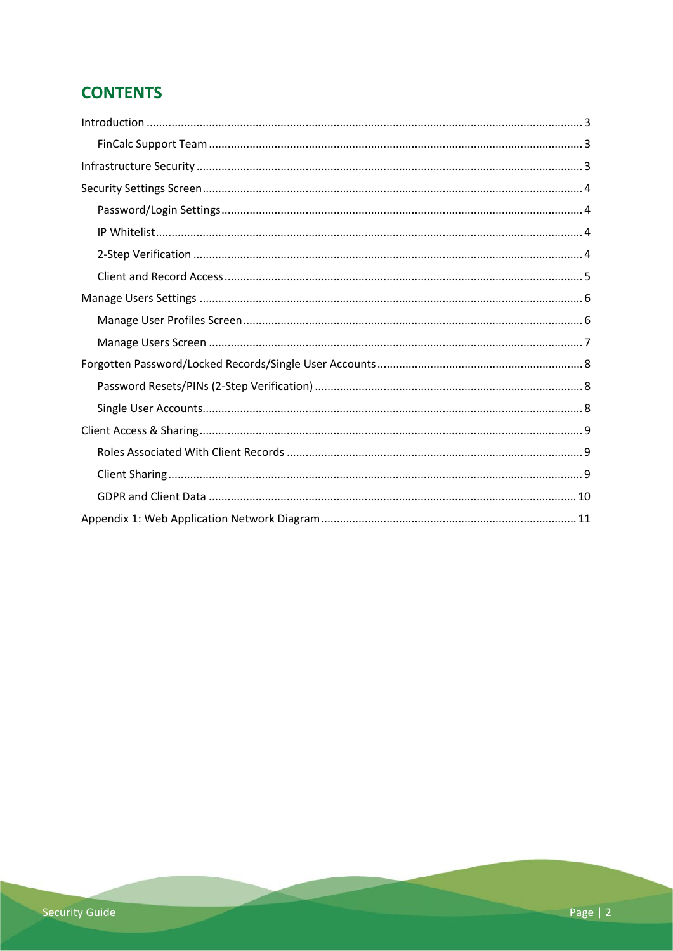# **CONTENTS**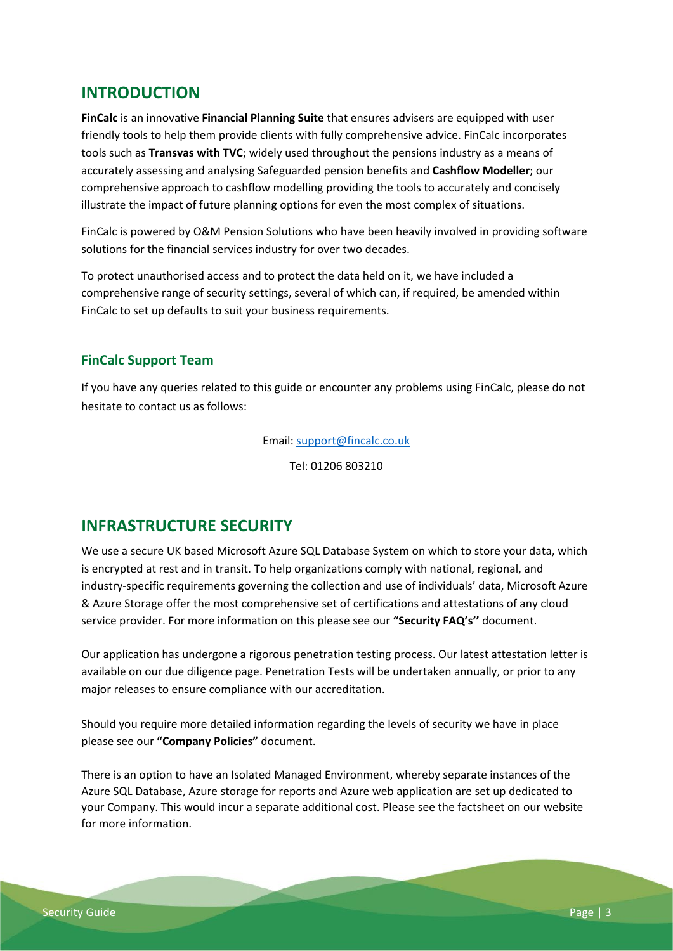## <span id="page-2-0"></span>**INTRODUCTION**

**FinCalc** is an innovative **Financial Planning Suite** that ensures advisers are equipped with user friendly tools to help them provide clients with fully comprehensive advice. FinCalc incorporates tools such as **Transvas with TVC**; widely used throughout the pensions industry as a means of accurately assessing and analysing Safeguarded pension benefits and **Cashflow Modeller**; our comprehensive approach to cashflow modelling providing the tools to accurately and concisely illustrate the impact of future planning options for even the most complex of situations.

FinCalc is powered by O&M Pension Solutions who have been heavily involved in providing software solutions for the financial services industry for over two decades.

To protect unauthorised access and to protect the data held on it, we have included a comprehensive range of security settings, several of which can, if required, be amended within FinCalc to set up defaults to suit your business requirements.

## <span id="page-2-1"></span>**FinCalc Support Team**

If you have any queries related to this guide or encounter any problems using FinCalc, please do not hesitate to contact us as follows:

Email: [support@fincalc.co.uk](mailto:support@fincalc.co.uk)

Tel: 01206 803210

## <span id="page-2-2"></span>**INFRASTRUCTURE SECURITY**

We use a secure UK based Microsoft Azure SQL Database System on which to store your data, which is encrypted at rest and in transit. To help organizations comply with national, regional, and industry-specific requirements governing the collection and use of individuals' data, Microsoft Azure & Azure Storage offer the most comprehensive set of certifications and attestations of any cloud service provider. For more information on this please see our **"Security FAQ's''** document.

Our application has undergone a rigorous penetration testing process. Our latest attestation letter is available on our due diligence page. Penetration Tests will be undertaken annually, or prior to any major releases to ensure compliance with our accreditation.

Should you require more detailed information regarding the levels of security we have in place please see our **"Company Policies"** document.

There is an option to have an Isolated Managed Environment, whereby separate instances of the Azure SQL Database, Azure storage for reports and Azure web application are set up dedicated to your Company. This would incur a separate additional cost. Please see the factsheet on our website for more information.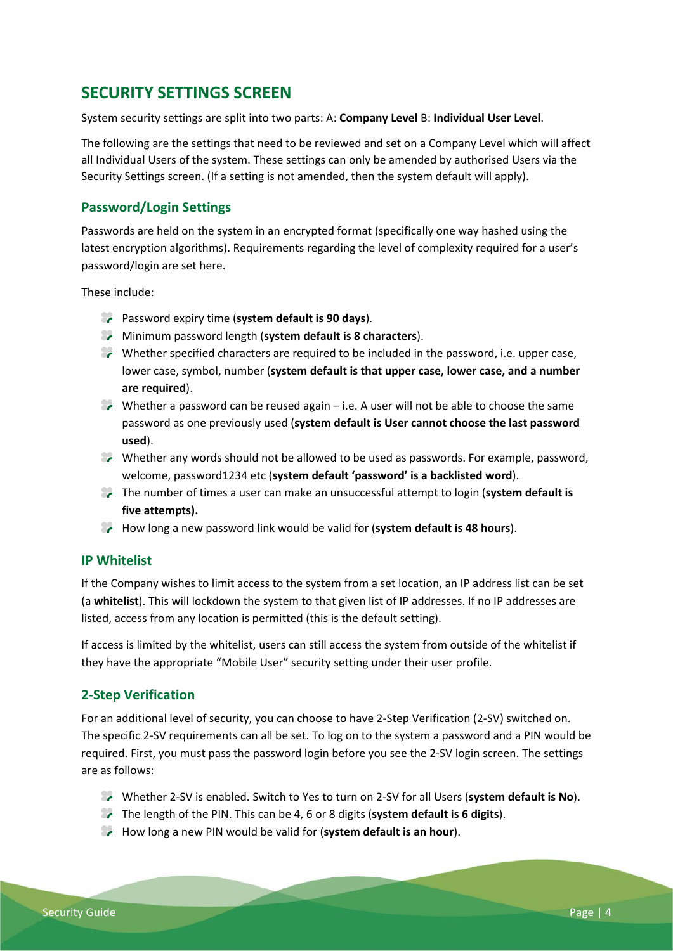# <span id="page-3-0"></span>**SECURITY SETTINGS SCREEN**

System security settings are split into two parts: A: **Company Level** B: **Individual User Level**.

The following are the settings that need to be reviewed and set on a Company Level which will affect all Individual Users of the system. These settings can only be amended by authorised Users via the Security Settings screen. (If a setting is not amended, then the system default will apply).

## <span id="page-3-1"></span>**Password/Login Settings**

Passwords are held on the system in an encrypted format (specifically one way hashed using the latest encryption algorithms). Requirements regarding the level of complexity required for a user's password/login are set here.

These include:

- **Password expiry time (system default is 90 days).**
- Minimum password length (**system default is 8 characters**).
- Whether specified characters are required to be included in the password, i.e. upper case, lower case, symbol, number (**system default is that upper case, lower case, and a number are required**).
- $\bullet\hspace{-.05cm}$  Whether a password can be reused again i.e. A user will not be able to choose the same password as one previously used (**system default is User cannot choose the last password used**).
- **P** Whether any words should not be allowed to be used as passwords. For example, password, welcome, password1234 etc (**system default 'password' is a backlisted word**).
- The number of times a user can make an unsuccessful attempt to login (**system default is five attempts).**
- How long a new password link would be valid for (**system default is 48 hours**).

#### <span id="page-3-2"></span>**IP Whitelist**

If the Company wishes to limit access to the system from a set location, an IP address list can be set (a **whitelist**). This will lockdown the system to that given list of IP addresses. If no IP addresses are listed, access from any location is permitted (this is the default setting).

If access is limited by the whitelist, users can still access the system from outside of the whitelist if they have the appropriate "Mobile User" security setting under their user profile.

## <span id="page-3-3"></span>**2-Step Verification**

For an additional level of security, you can choose to have 2-Step Verification (2-SV) switched on. The specific 2-SV requirements can all be set. To log on to the system a password and a PIN would be required. First, you must pass the password login before you see the 2-SV login screen. The settings are as follows:

- Whether 2-SV is enabled. Switch to Yes to turn on 2-SV for all Users (**system default is No**).
- The length of the PIN. This can be 4, 6 or 8 digits (**system default is 6 digits**).
- **How long a new PIN would be valid for (system default is an hour).**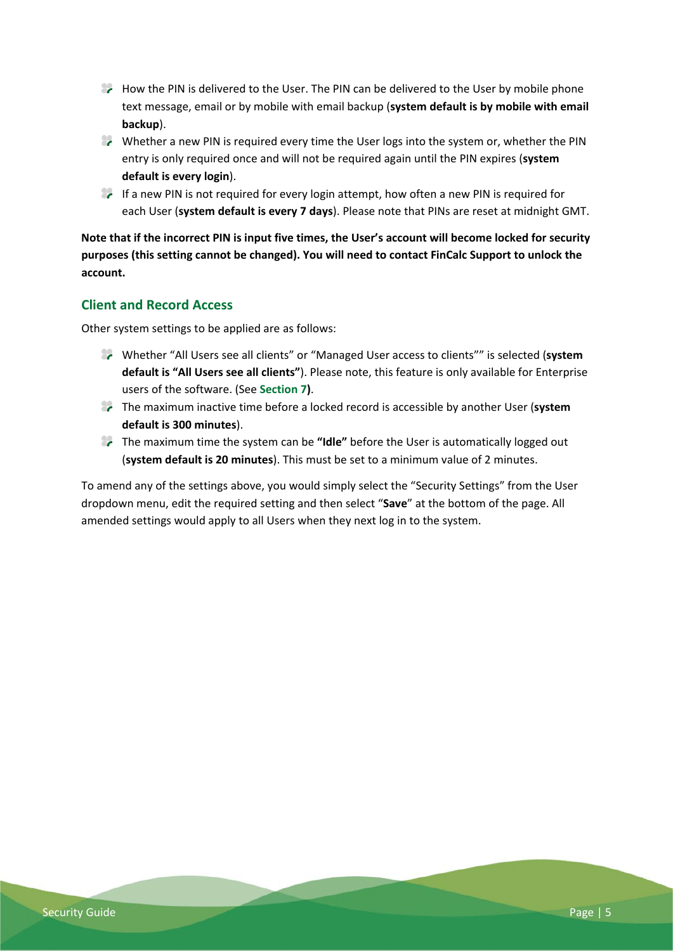- **A How the PIN is delivered to the User. The PIN can be delivered to the User by mobile phone** text message, email or by mobile with email backup (**system default is by mobile with email backup**).
- **P** Whether a new PIN is required every time the User logs into the system or, whether the PIN entry is only required once and will not be required again until the PIN expires (**system default is every login**).
- **If a new PIN is not required for every login attempt, how often a new PIN is required for** each User (**system default is every 7 days**). Please note that PINs are reset at midnight GMT.

**Note that if the incorrect PIN is input five times, the User's account will become locked for security purposes (this setting cannot be changed). You will need to contact FinCalc Support to unlock the account.** 

## <span id="page-4-0"></span>**Client and Record Access**

Other system settings to be applied are as follows:

- Whether "All Users see all clients" or "Managed User access to clients"" is selected (**system default is "All Users see all clients"**). Please note, this feature is only available for Enterprise users of the software. (See **Section 7)**.
- The maximum inactive time before a locked record is accessible by another User (**system default is 300 minutes**).
- The maximum time the system can be **"Idle"** before the User is automatically logged out (**system default is 20 minutes**). This must be set to a minimum value of 2 minutes.

To amend any of the settings above, you would simply select the "Security Settings" from the User dropdown menu, edit the required setting and then select "**Save**" at the bottom of the page. All amended settings would apply to all Users when they next log in to the system.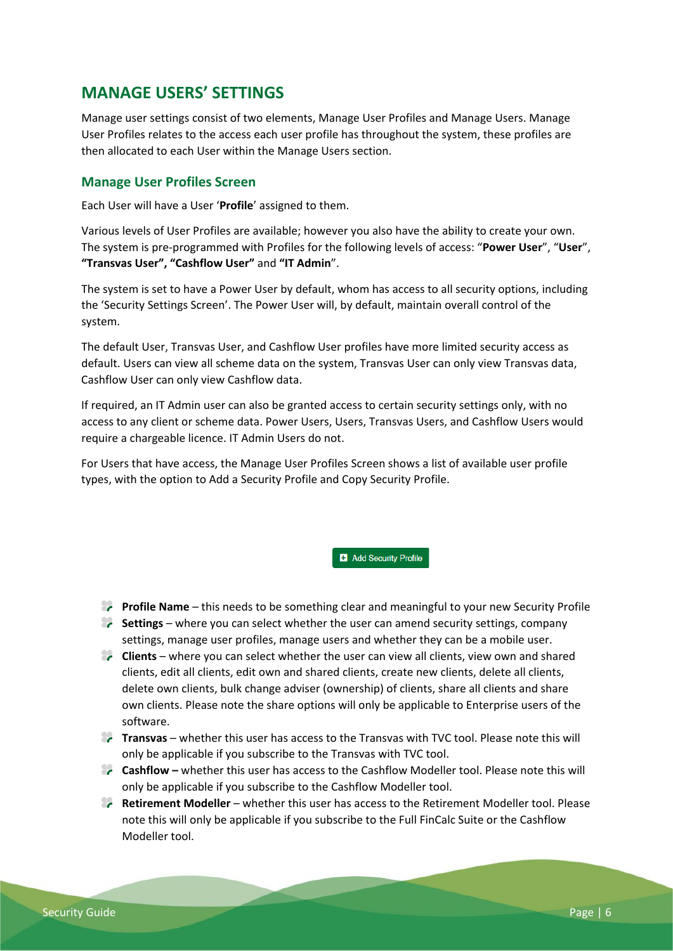# <span id="page-5-0"></span>**MANAGE USERS' SETTINGS**

Manage user settings consist of two elements, Manage User Profiles and Manage Users. Manage User Profiles relates to the access each user profile has throughout the system, these profiles are then allocated to each User within the Manage Users section.

## <span id="page-5-1"></span>**Manage User Profiles Screen**

Each User will have a User '**Profile**' assigned to them.

Various levels of User Profiles are available; however you also have the ability to create your own. The system is pre-programmed with Profiles for the following levels of access: "**Power User**", "**User**", **"Transvas User", "Cashflow User"** and **"IT Admin**".

The system is set to have a Power User by default, whom has access to all security options, including the 'Security Settings Screen'. The Power User will, by default, maintain overall control of the system.

The default User, Transvas User, and Cashflow User profiles have more limited security access as default. Users can view all scheme data on the system, Transvas User can only view Transvas data, Cashflow User can only view Cashflow data.

If required, an IT Admin user can also be granted access to certain security settings only, with no access to any client or scheme data. Power Users, Users, Transvas Users, and Cashflow Users would require a chargeable licence. IT Admin Users do not.

For Users that have access, the Manage User Profiles Screen shows a list of available user profile types, with the option to Add a Security Profile and Copy Security Profile.

**B** Add Security Profile

- **Profile Name** this needs to be something clear and meaningful to your new Security Profile
- **Settings** where you can select whether the user can amend security settings, company settings, manage user profiles, manage users and whether they can be a mobile user.
- **Clients** where you can select whether the user can view all clients, view own and shared clients, edit all clients, edit own and shared clients, create new clients, delete all clients, delete own clients, bulk change adviser (ownership) of clients, share all clients and share own clients. Please note the share options will only be applicable to Enterprise users of the software.
- **Transvas** whether this user has access to the Transvas with TVC tool. Please note this will only be applicable if you subscribe to the Transvas with TVC tool.
- **Cashflow** whether this user has access to the Cashflow Modeller tool. Please note this will only be applicable if you subscribe to the Cashflow Modeller tool.
- **Retirement Modeller** whether this user has access to the Retirement Modeller tool. Please note this will only be applicable if you subscribe to the Full FinCalc Suite or the Cashflow Modeller tool.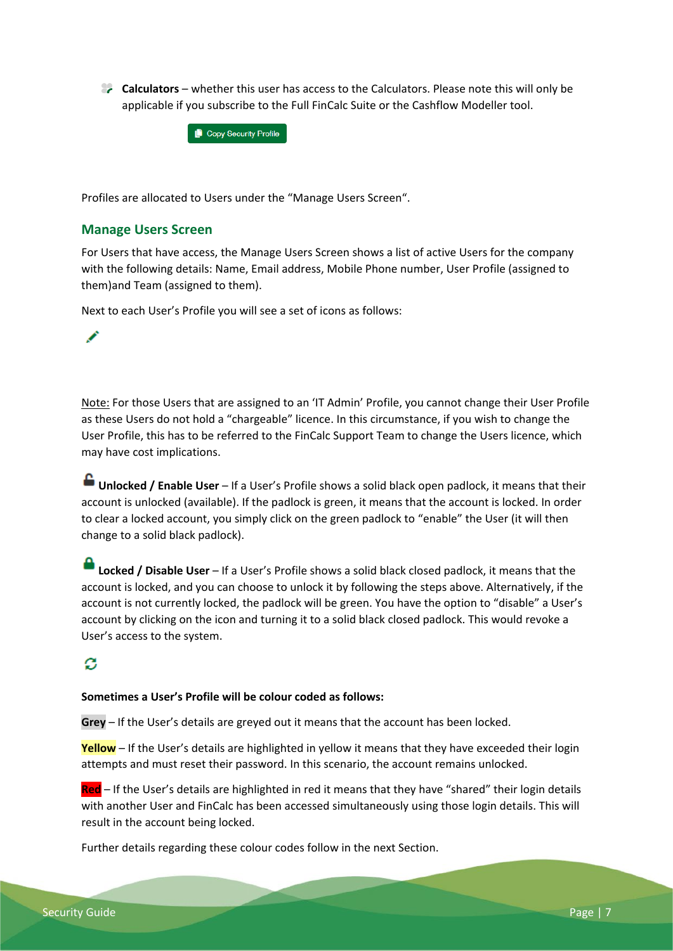**Calculators** – whether this user has access to the Calculators. Please note this will only be applicable if you subscribe to the Full FinCalc Suite or the Cashflow Modeller tool.



Profiles are allocated to Users under the "Manage Users Screen".

### <span id="page-6-0"></span>**Manage Users Screen**

For Users that have access, the Manage Users Screen shows a list of active Users for the company with the following details: Name, Email address, Mobile Phone number, User Profile (assigned to them)and Team (assigned to them).

Next to each User's Profile you will see a set of icons as follows:

Note: For those Users that are assigned to an 'IT Admin' Profile, you cannot change their User Profile as these Users do not hold a "chargeable" licence. In this circumstance, if you wish to change the User Profile, this has to be referred to the FinCalc Support Team to change the Users licence, which may have cost implications.

**Unlocked / Enable User** – If a User's Profile shows a solid black open padlock, it means that their account is unlocked (available). If the padlock is green, it means that the account is locked. In order to clear a locked account, you simply click on the green padlock to "enable" the User (it will then change to a solid black padlock).

**Locked / Disable User** – If a User's Profile shows a solid black closed padlock, it means that the account is locked, and you can choose to unlock it by following the steps above. Alternatively, if the account is not currently locked, the padlock will be green. You have the option to "disable" a User's account by clicking on the icon and turning it to a solid black closed padlock. This would revoke a User's access to the system.

## ø

#### **Sometimes a User's Profile will be colour coded as follows:**

**Grey** – If the User's details are greyed out it means that the account has been locked.

**Yellow** – If the User's details are highlighted in yellow it means that they have exceeded their login attempts and must reset their password. In this scenario, the account remains unlocked.

**Red** – If the User's details are highlighted in red it means that they have "shared" their login details with another User and FinCalc has been accessed simultaneously using those login details. This will result in the account being locked.

Further details regarding these colour codes follow in the next Section.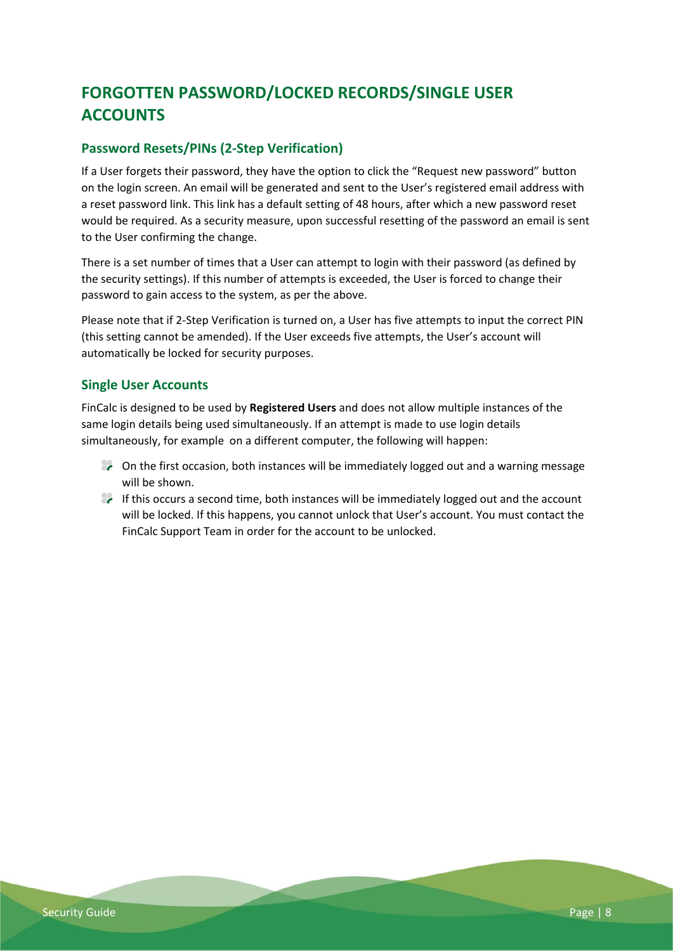# <span id="page-7-0"></span>**FORGOTTEN PASSWORD/LOCKED RECORDS/SINGLE USER ACCOUNTS**

## <span id="page-7-1"></span>**Password Resets/PINs (2-Step Verification)**

If a User forgets their password, they have the option to click the "Request new password" button on the login screen. An email will be generated and sent to the User's registered email address with a reset password link. This link has a default setting of 48 hours, after which a new password reset would be required. As a security measure, upon successful resetting of the password an email is sent to the User confirming the change.

There is a set number of times that a User can attempt to login with their password (as defined by the security settings). If this number of attempts is exceeded, the User is forced to change their password to gain access to the system, as per the above.

Please note that if 2-Step Verification is turned on, a User has five attempts to input the correct PIN (this setting cannot be amended). If the User exceeds five attempts, the User's account will automatically be locked for security purposes.

## <span id="page-7-2"></span>**Single User Accounts**

FinCalc is designed to be used by **Registered Users** and does not allow multiple instances of the same login details being used simultaneously. If an attempt is made to use login details simultaneously, for example on a different computer, the following will happen:

- $\epsilon$  On the first occasion, both instances will be immediately logged out and a warning message will be shown.
- $\bullet$  If this occurs a second time, both instances will be immediately logged out and the account will be locked. If this happens, you cannot unlock that User's account. You must contact the FinCalc Support Team in order for the account to be unlocked.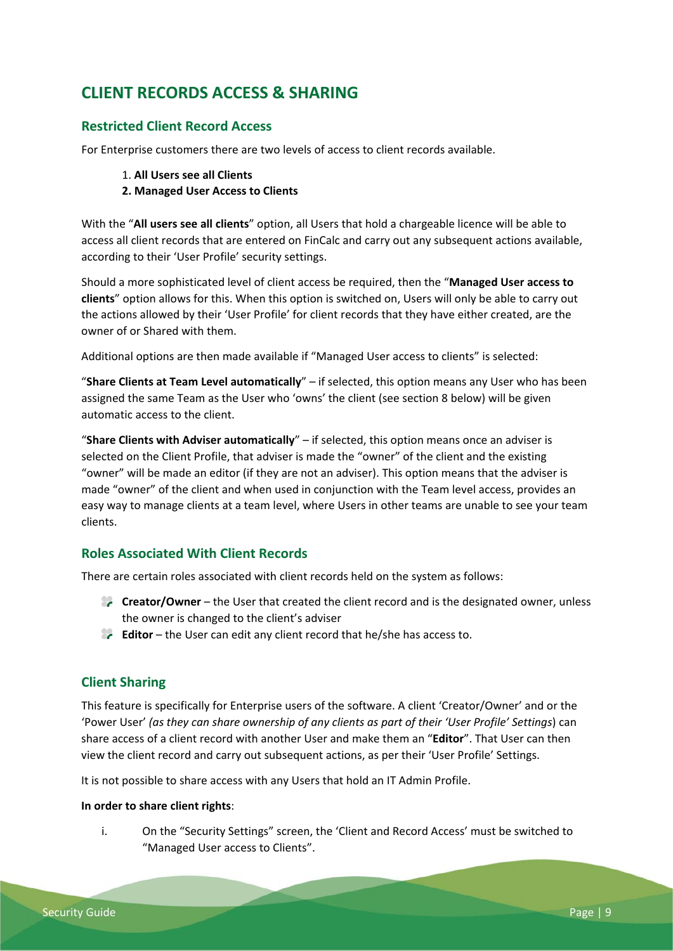# <span id="page-8-0"></span>**CLIENT RECORDS ACCESS & SHARING**

## **Restricted Client Record Access**

For Enterprise customers there are two levels of access to client records available.

1. **All Users see all Clients** 

#### **2. Managed User Access to Clients**

With the "**All users see all clients**" option, all Users that hold a chargeable licence will be able to access all client records that are entered on FinCalc and carry out any subsequent actions available, according to their 'User Profile' security settings.

Should a more sophisticated level of client access be required, then the "**Managed User access to clients**" option allows for this. When this option is switched on, Users will only be able to carry out the actions allowed by their 'User Profile' for client records that they have either created, are the owner of or Shared with them.

Additional options are then made available if "Managed User access to clients" is selected:

"**Share Clients at Team Level automatically**" – if selected, this option means any User who has been assigned the same Team as the User who 'owns' the client (see section 8 below) will be given automatic access to the client.

"**Share Clients with Adviser automatically**" – if selected, this option means once an adviser is selected on the Client Profile, that adviser is made the "owner" of the client and the existing "owner" will be made an editor (if they are not an adviser). This option means that the adviser is made "owner" of the client and when used in conjunction with the Team level access, provides an easy way to manage clients at a team level, where Users in other teams are unable to see your team clients.

## <span id="page-8-1"></span>**Roles Associated With Client Records**

There are certain roles associated with client records held on the system as follows:

- **Creator/Owner** the User that created the client record and is the designated owner, unless the owner is changed to the client's adviser
- **Editor** the User can edit any client record that he/she has access to.

## <span id="page-8-2"></span>**Client Sharing**

This feature is specifically for Enterprise users of the software. A client 'Creator/Owner' and or the 'Power User' *(as they can share ownership of any clients as part of their 'User Profile' Settings*) can share access of a client record with another User and make them an "**Editor**". That User can then view the client record and carry out subsequent actions, as per their 'User Profile' Settings.

It is not possible to share access with any Users that hold an IT Admin Profile.

#### **In order to share client rights**:

i. On the "Security Settings" screen, the 'Client and Record Access' must be switched to "Managed User access to Clients".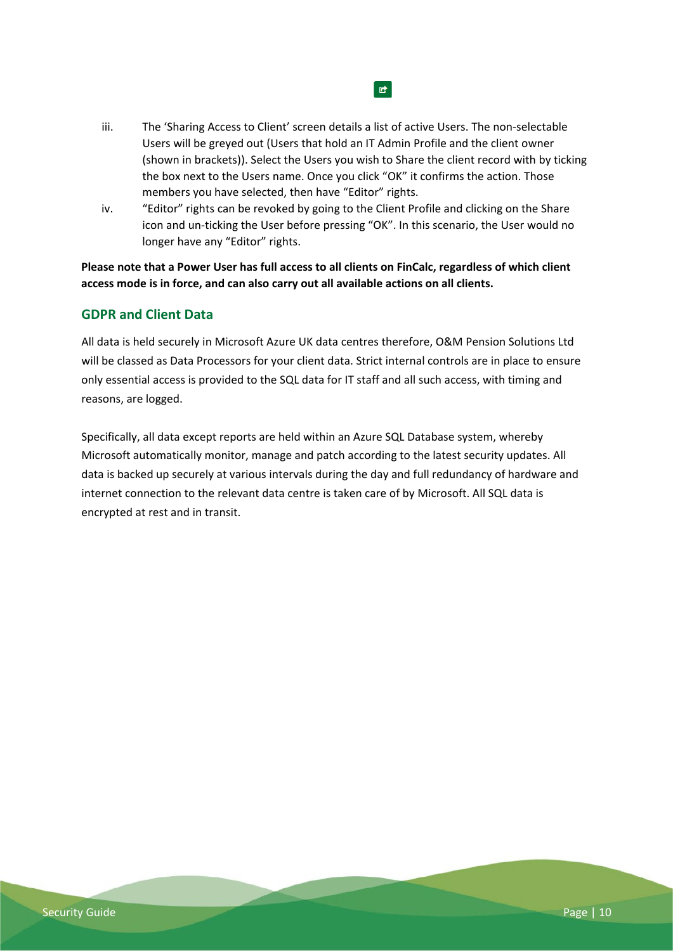- iii. The 'Sharing Access to Client' screen details a list of active Users. The non-selectable Users will be greyed out (Users that hold an IT Admin Profile and the client owner (shown in brackets)). Select the Users you wish to Share the client record with by ticking the box next to the Users name. Once you click "OK" it confirms the action. Those members you have selected, then have "Editor" rights.
- iv. "Editor" rights can be revoked by going to the Client Profile and clicking on the Share icon and un-ticking the User before pressing "OK". In this scenario, the User would no longer have any "Editor" rights.

**Please note that a Power User has full access to all clients on FinCalc, regardless of which client access mode is in force, and can also carry out all available actions on all clients.**

## <span id="page-9-0"></span>**GDPR and Client Data**

All data is held securely in Microsoft Azure UK data centres therefore, O&M Pension Solutions Ltd will be classed as Data Processors for your client data. Strict internal controls are in place to ensure only essential access is provided to the SQL data for IT staff and all such access, with timing and reasons, are logged.

Specifically, all data except reports are held within an Azure SQL Database system, whereby Microsoft automatically monitor, manage and patch according to the latest security updates. All data is backed up securely at various intervals during the day and full redundancy of hardware and internet connection to the relevant data centre is taken care of by Microsoft. All SQL data is encrypted at rest and in transit.